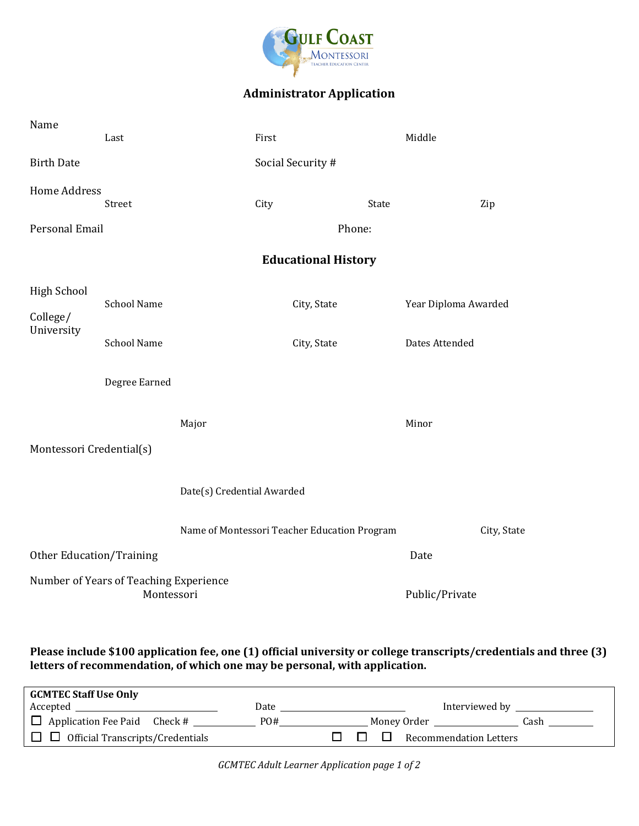

## **Administrator Application**

| Name                                         | Last                                                 |                            | First             |                                              | Middle               |             |  |  |
|----------------------------------------------|------------------------------------------------------|----------------------------|-------------------|----------------------------------------------|----------------------|-------------|--|--|
| <b>Birth Date</b>                            |                                                      |                            | Social Security # |                                              |                      |             |  |  |
| <b>Home Address</b>                          | Street                                               |                            | City              | State                                        |                      | Zip         |  |  |
| Personal Email                               |                                                      |                            |                   | Phone:                                       |                      |             |  |  |
|                                              |                                                      | <b>Educational History</b> |                   |                                              |                      |             |  |  |
| <b>High School</b><br>College/<br>University | <b>School Name</b>                                   |                            | City, State       |                                              | Year Diploma Awarded |             |  |  |
|                                              | <b>School Name</b>                                   |                            | City, State       |                                              | Dates Attended       |             |  |  |
|                                              | Degree Earned                                        |                            |                   |                                              |                      |             |  |  |
| Montessori Credential(s)                     |                                                      | Major                      |                   |                                              | Minor                |             |  |  |
| Date(s) Credential Awarded                   |                                                      |                            |                   |                                              |                      |             |  |  |
|                                              |                                                      |                            |                   | Name of Montessori Teacher Education Program |                      | City, State |  |  |
| <b>Other Education/Training</b>              |                                                      |                            |                   |                                              | Date                 |             |  |  |
|                                              | Number of Years of Teaching Experience<br>Montessori |                            |                   |                                              | Public/Private       |             |  |  |

## **Please include \$100 application fee, one (1) official university or college transcripts/credentials and three (3) letters of recommendation, of which one may be personal, with application.**

| <b>GCMTEC Staff Use Only</b>                   |      |                                       |  |  |  |  |  |  |
|------------------------------------------------|------|---------------------------------------|--|--|--|--|--|--|
|                                                | Date | Interviewed by ______                 |  |  |  |  |  |  |
|                                                | PO#  | Money Order<br>Cash                   |  |  |  |  |  |  |
| $\Box$ $\Box$ Official Transcripts/Credentials |      | <b>Recommendation Letters</b><br>n 11 |  |  |  |  |  |  |